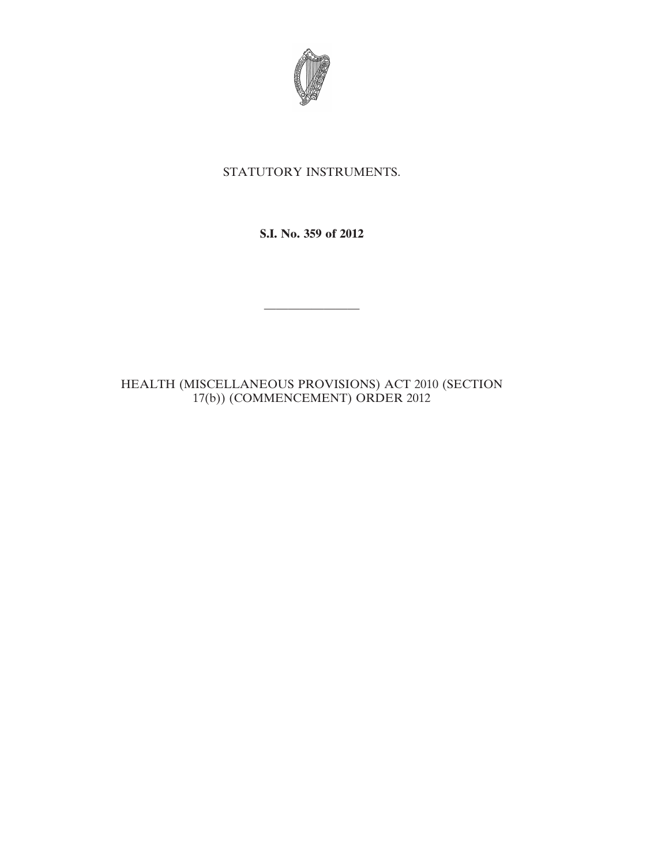

## STATUTORY INSTRUMENTS.

**S.I. No. 359 of 2012**

————————

HEALTH (MISCELLANEOUS PROVISIONS) ACT 2010 (SECTION 17(b)) (COMMENCEMENT) ORDER 2012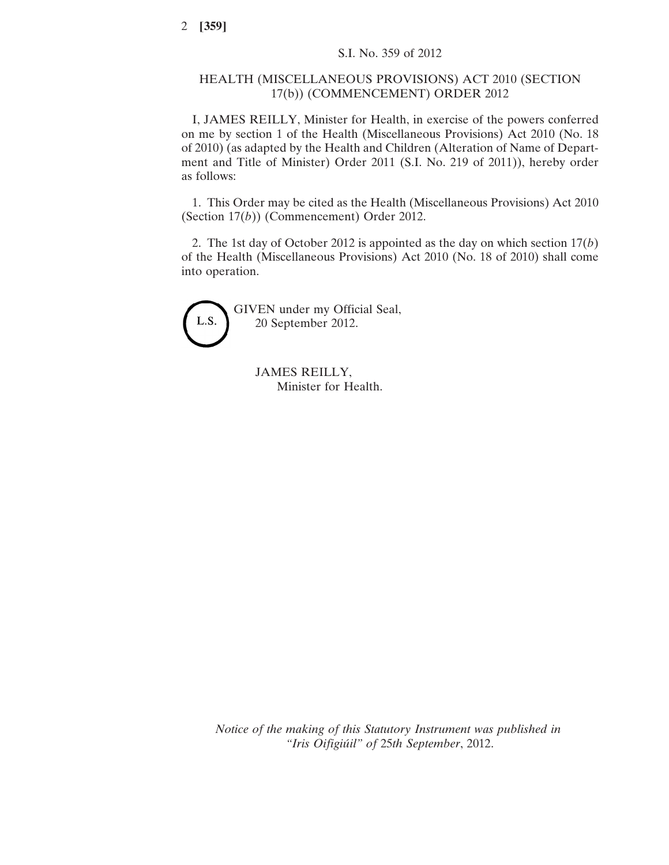## HEALTH (MISCELLANEOUS PROVISIONS) ACT 2010 (SECTION 17(b)) (COMMENCEMENT) ORDER 2012

I, JAMES REILLY, Minister for Health, in exercise of the powers conferred on me by section 1 of the Health (Miscellaneous Provisions) Act 2010 (No. 18 of 2010) (as adapted by the Health and Children (Alteration of Name of Department and Title of Minister) Order 2011 (S.I. No. 219 of 2011)), hereby order as follows:

1. This Order may be cited as the Health (Miscellaneous Provisions) Act 2010 (Section 17(*b*)) (Commencement) Order 2012.

2. The 1st day of October 2012 is appointed as the day on which section 17(*b*) of the Health (Miscellaneous Provisions) Act 2010 (No. 18 of 2010) shall come into operation.



GIVEN under my Official Seal, 20 September 2012.

> JAMES REILLY, Minister for Health.

*Notice of the making of this Statutory Instrument was published in "Iris Oifigiúil" of* 25*th September*, 2012.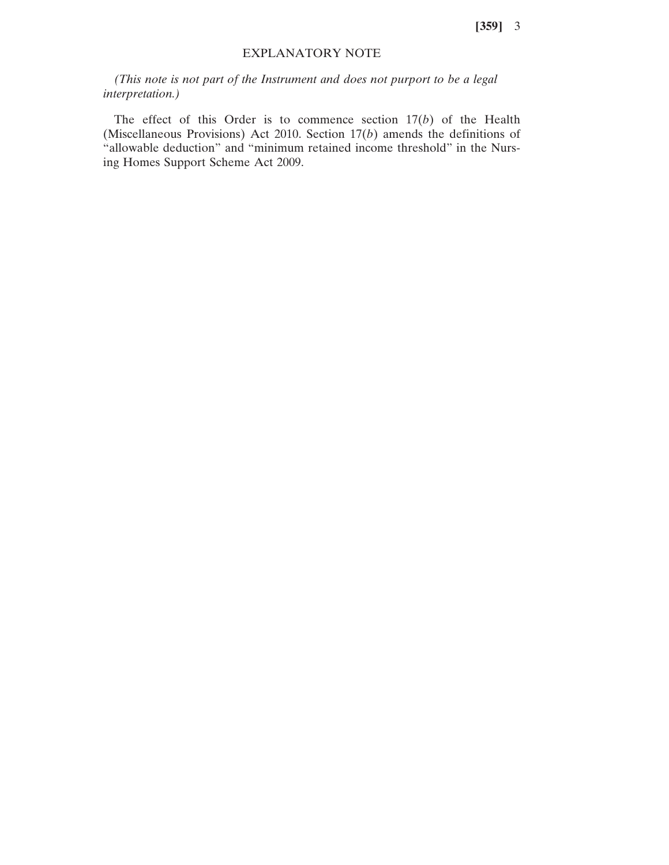**[359]** 3

## EXPLANATORY NOTE

*(This note is not part of the Instrument and does not purport to be a legal interpretation.)*

The effect of this Order is to commence section 17(*b*) of the Health (Miscellaneous Provisions) Act 2010. Section 17(*b*) amends the definitions of "allowable deduction" and "minimum retained income threshold" in the Nursing Homes Support Scheme Act 2009.